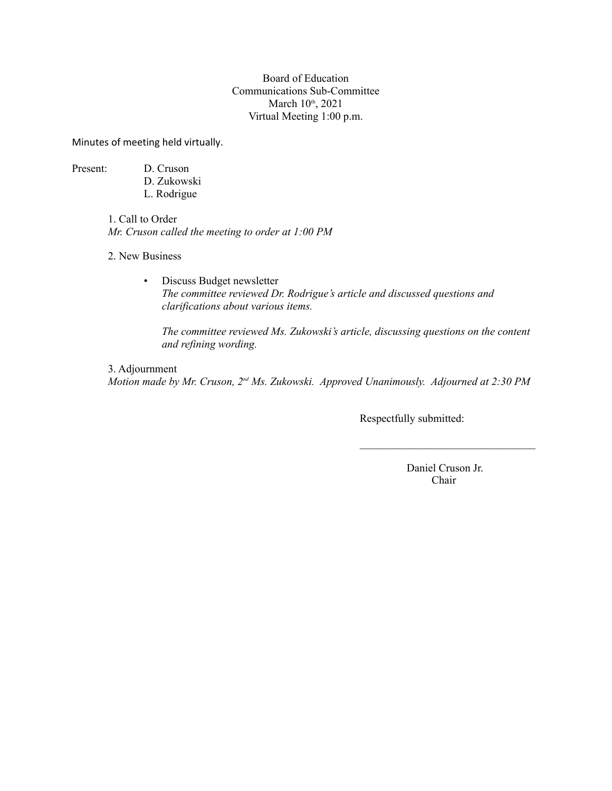#### Board of Education Communications Sub-Committee March 10<sup>th</sup>, 2021 Virtual Meeting 1:00 p.m.

Minutes of meeting held virtually.

Present: D. Cruson

- D. Zukowski L. Rodrigue
- 1. Call to Order *Mr. Cruson called the meeting to order at 1:00 PM*

2. New Business

• Discuss Budget newsletter *The committee reviewed Dr. Rodrigue's article and discussed questions and clarifications about various items.*

*The committee reviewed Ms. Zukowski's article, discussing questions on the content and refining wording.* 

3. Adjournment *Motion made by Mr. Cruson, 2nd Ms. Zukowski. Approved Unanimously. Adjourned at 2:30 PM*

Respectfully submitted:

 Daniel Cruson Jr. Chair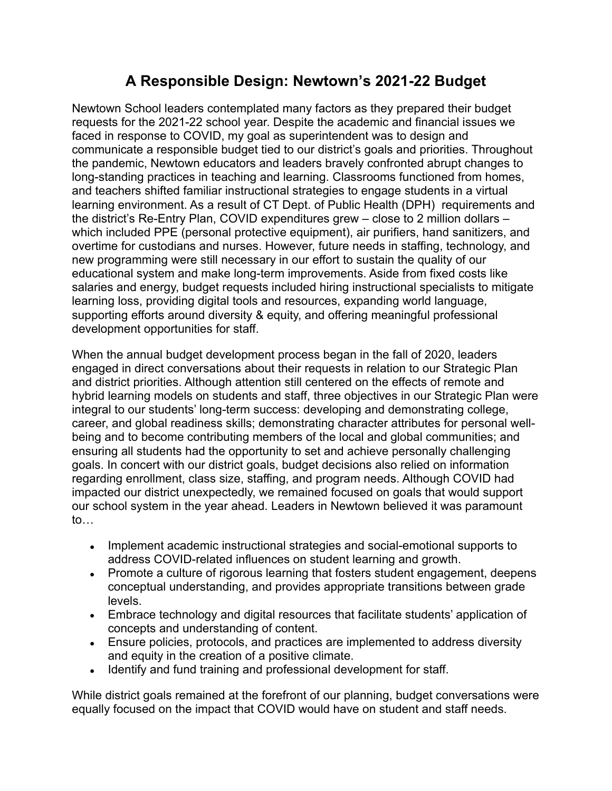# **A Responsible Design: Newtown's 2021-22 Budget**

Newtown School leaders contemplated many factors as they prepared their budget requests for the 2021-22 school year. Despite the academic and financial issues we faced in response to COVID, my goal as superintendent was to design and communicate a responsible budget tied to our district's goals and priorities. Throughout the pandemic, Newtown educators and leaders bravely confronted abrupt changes to long-standing practices in teaching and learning. Classrooms functioned from homes, and teachers shifted familiar instructional strategies to engage students in a virtual learning environment. As a result of CT Dept. of Public Health (DPH) requirements and the district's Re-Entry Plan, COVID expenditures grew – close to 2 million dollars – which included PPE (personal protective equipment), air purifiers, hand sanitizers, and overtime for custodians and nurses. However, future needs in staffing, technology, and new programming were still necessary in our effort to sustain the quality of our educational system and make long-term improvements. Aside from fixed costs like salaries and energy, budget requests included hiring instructional specialists to mitigate learning loss, providing digital tools and resources, expanding world language, supporting efforts around diversity & equity, and offering meaningful professional development opportunities for staff.

When the annual budget development process began in the fall of 2020, leaders engaged in direct conversations about their requests in relation to our Strategic Plan and district priorities. Although attention still centered on the effects of remote and hybrid learning models on students and staff, three objectives in our Strategic Plan were integral to our students' long-term success: developing and demonstrating college, career, and global readiness skills; demonstrating character attributes for personal wellbeing and to become contributing members of the local and global communities; and ensuring all students had the opportunity to set and achieve personally challenging goals. In concert with our district goals, budget decisions also relied on information regarding enrollment, class size, staffing, and program needs. Although COVID had impacted our district unexpectedly, we remained focused on goals that would support our school system in the year ahead. Leaders in Newtown believed it was paramount to…

- Implement academic instructional strategies and social-emotional supports to address COVID-related influences on student learning and growth.
- Promote a culture of rigorous learning that fosters student engagement, deepens conceptual understanding, and provides appropriate transitions between grade levels.
- Embrace technology and digital resources that facilitate students' application of concepts and understanding of content.
- Ensure policies, protocols, and practices are implemented to address diversity and equity in the creation of a positive climate.
- Identify and fund training and professional development for staff.

While district goals remained at the forefront of our planning, budget conversations were equally focused on the impact that COVID would have on student and staff needs.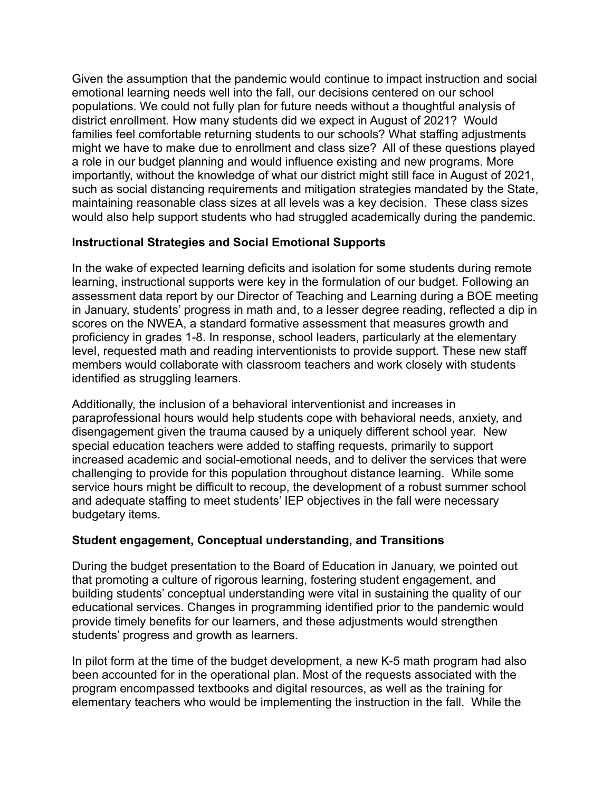Given the assumption that the pandemic would continue to impact instruction and social emotional learning needs well into the fall, our decisions centered on our school populations. We could not fully plan for future needs without a thoughtful analysis of district enrollment. How many students did we expect in August of 2021? Would families feel comfortable returning students to our schools? What staffing adjustments might we have to make due to enrollment and class size? All of these questions played a role in our budget planning and would influence existing and new programs. More importantly, without the knowledge of what our district might still face in August of 2021, such as social distancing requirements and mitigation strategies mandated by the State, maintaining reasonable class sizes at all levels was a key decision. These class sizes would also help support students who had struggled academically during the pandemic.

# **Instructional Strategies and Social Emotional Supports**

In the wake of expected learning deficits and isolation for some students during remote learning, instructional supports were key in the formulation of our budget. Following an assessment data report by our Director of Teaching and Learning during a BOE meeting in January, students' progress in math and, to a lesser degree reading, reflected a dip in scores on the NWEA, a standard formative assessment that measures growth and proficiency in grades 1-8. In response, school leaders, particularly at the elementary level, requested math and reading interventionists to provide support. These new staff members would collaborate with classroom teachers and work closely with students identified as struggling learners.

Additionally, the inclusion of a behavioral interventionist and increases in paraprofessional hours would help students cope with behavioral needs, anxiety, and disengagement given the trauma caused by a uniquely different school year. New special education teachers were added to staffing requests, primarily to support increased academic and social-emotional needs, and to deliver the services that were challenging to provide for this population throughout distance learning. While some service hours might be difficult to recoup, the development of a robust summer school and adequate staffing to meet students' IEP objectives in the fall were necessary budgetary items.

# **Student engagement, Conceptual understanding, and Transitions**

During the budget presentation to the Board of Education in January, we pointed out that promoting a culture of rigorous learning, fostering student engagement, and building students' conceptual understanding were vital in sustaining the quality of our educational services. Changes in programming identified prior to the pandemic would provide timely benefits for our learners, and these adjustments would strengthen students' progress and growth as learners.

In pilot form at the time of the budget development, a new K-5 math program had also been accounted for in the operational plan. Most of the requests associated with the program encompassed textbooks and digital resources, as well as the training for elementary teachers who would be implementing the instruction in the fall. While the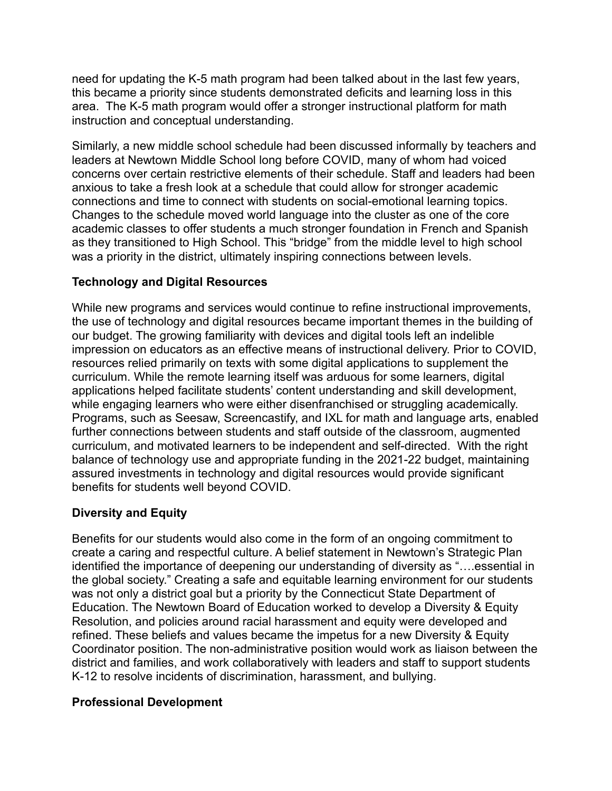need for updating the K-5 math program had been talked about in the last few years, this became a priority since students demonstrated deficits and learning loss in this area. The K-5 math program would offer a stronger instructional platform for math instruction and conceptual understanding.

Similarly, a new middle school schedule had been discussed informally by teachers and leaders at Newtown Middle School long before COVID, many of whom had voiced concerns over certain restrictive elements of their schedule. Staff and leaders had been anxious to take a fresh look at a schedule that could allow for stronger academic connections and time to connect with students on social-emotional learning topics. Changes to the schedule moved world language into the cluster as one of the core academic classes to offer students a much stronger foundation in French and Spanish as they transitioned to High School. This "bridge" from the middle level to high school was a priority in the district, ultimately inspiring connections between levels.

## **Technology and Digital Resources**

While new programs and services would continue to refine instructional improvements, the use of technology and digital resources became important themes in the building of our budget. The growing familiarity with devices and digital tools left an indelible impression on educators as an effective means of instructional delivery. Prior to COVID, resources relied primarily on texts with some digital applications to supplement the curriculum. While the remote learning itself was arduous for some learners, digital applications helped facilitate students' content understanding and skill development, while engaging learners who were either disenfranchised or struggling academically.<br>Programs, such as Seesaw, Screencastify, and IXL for math and language arts, enabled further connections between students and staff outside of the classroom, augmented curriculum, and motivated learners to be independent and self-directed. With the right balance of technology use and appropriate funding in the 2021-22 budget, maintaining assured investments in technology and digital resources would provide significant benefits for students well beyond COVID.

# **Diversity and Equity**

Benefits for our students would also come in the form of an ongoing commitment to create a caring and respectful culture. A belief statement in Newtown's Strategic Plan identified the importance of deepening our understanding of diversity as "….essential in the global society." Creating a safe and equitable learning environment for our students was not only a district goal but a priority by the Connecticut State Department of Education. The Newtown Board of Education worked to develop a Diversity & Equity Resolution, and policies around racial harassment and equity were developed and refined. These beliefs and values became the impetus for a new Diversity & Equity Coordinator position. The non-administrative position would work as liaison between the district and families, and work collaboratively with leaders and staff to support students K-12 to resolve incidents of discrimination, harassment, and bullying.

## **Professional Development**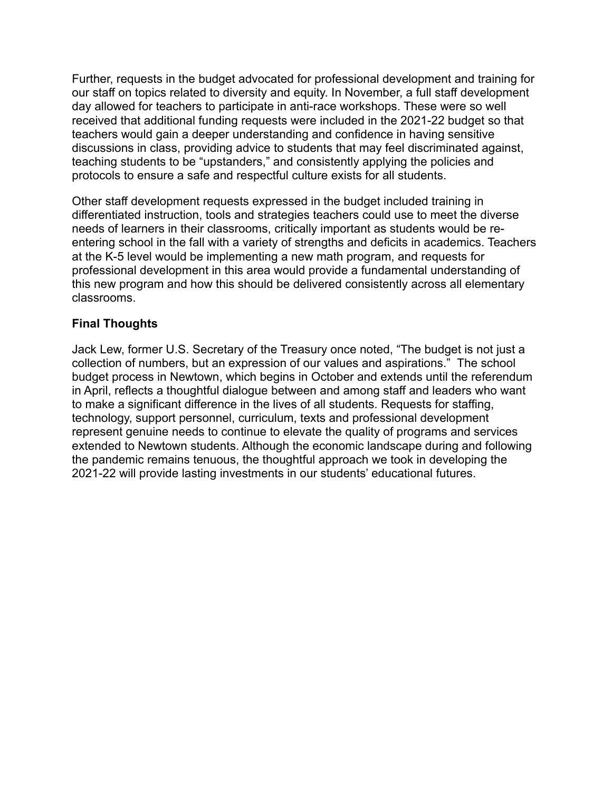Further, requests in the budget advocated for professional development and training for our staff on topics related to diversity and equity. In November, a full staff development day allowed for teachers to participate in anti-race workshops. These were so well received that additional funding requests were included in the 2021-22 budget so that teachers would gain a deeper understanding and confidence in having sensitive discussions in class, providing advice to students that may feel discriminated against, teaching students to be "upstanders," and consistently applying the policies and protocols to ensure a safe and respectful culture exists for all students.

Other staff development requests expressed in the budget included training in differentiated instruction, tools and strategies teachers could use to meet the diverse needs of learners in their classrooms, critically important as students would be reentering school in the fall with a variety of strengths and deficits in academics. Teachers at the K-5 level would be implementing a new math program, and requests for professional development in this area would provide a fundamental understanding of this new program and how this should be delivered consistently across all elementary classrooms.

# **Final Thoughts**

Jack Lew, former U.S. Secretary of the Treasury once noted, "The budget is not just a collection of numbers, but an expression of our values and aspirations." The school budget process in Newtown, which begins in October and extends until the referendum in April, reflects a thoughtful dialogue between and among staff and leaders who want to make a significant difference in the lives of all students. Requests for staffing, technology, support personnel, curriculum, texts and professional development represent genuine needs to continue to elevate the quality of programs and services extended to Newtown students. Although the economic landscape during and following the pandemic remains tenuous, the thoughtful approach we took in developing the 2021-22 will provide lasting investments in our students' educational futures.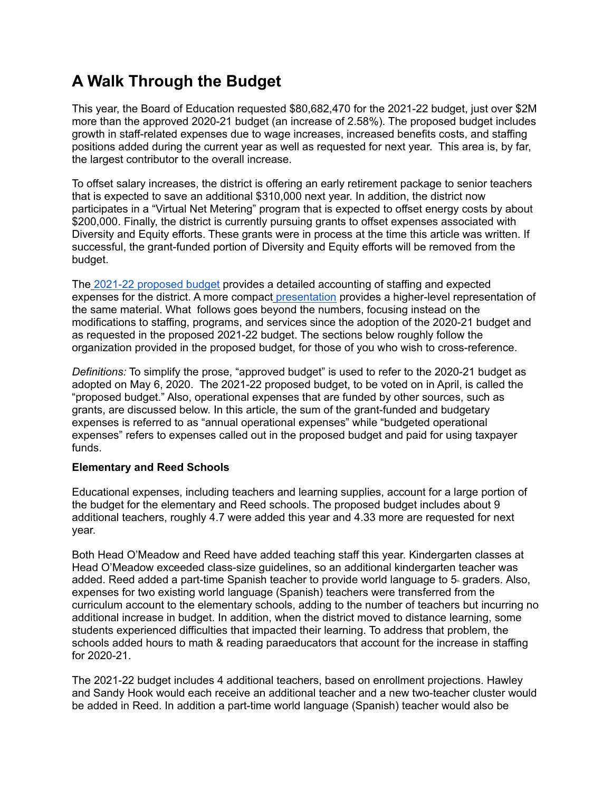# **A Walk Through the Budget**

This year, the Board of Education requested \$80,682,470 for the 2021-22 budget, just over \$2M more than the approved 2020-21 budget (an increase of 2.58%). The proposed budget includes growth in staff-related expenses due to wage increases, increased benefits costs, and staffing positions added during the current year as well as requested for next year. This area is, by far, the largest contributor to the overall increase.

To offset salary increases, the district is offering an early retirement package to senior teachers that is expected to save an additional \$310,000 next year. In addition, the district now participates in a "Virtual Net Metering" program that is expected to offset energy costs by about \$200,000. Finally, the district is currently pursuing grants to offset expenses associated with Diversity and Equity efforts. These grants were in process at the time this article was written. If successful, the grant-funded portion of Diversity and Equity efforts will be removed from the budget.

The [2021-22 proposed budget](http://www.newtown.k12.ct.us/_theme/files/Board%20of%20Education/BOE%20Budgets/2021-2022%20Budgets/BOF%20Budget%20Presentation%2021-22%20FINAL%202_11_21rev.pdf) provides a detailed accounting of staffing and expected expenses for the district. A more compac[t](http://www.newtown.k12.ct.us/_theme/files/Board%20of%20Education/BOE%20Budgets/2021-2022%20Budgets/BOF%20Budget%20Presentation%2021-22%20FINAL%202_11_21rev.pdf) [presentation](http://www.newtown.k12.ct.us/_theme/files/Board%20of%20Education/BOE%20Budgets/2021-2022%20Budgets/BOF%20Budget%20Presentation%2021-22%20FINAL%202_11_21rev.pdf) provides a higher-level representation of the same material. What follows goes beyond the numbers, focusing instead on the modifications to staffing, programs, and services since the adoption of the 2020-21 budget and as requested in the proposed 2021-22 budget. The sections below roughly follow the organization provided in the proposed budget, for those of you who wish to cross-reference.

*Definitions:* To simplify the prose, "approved budget" is used to refer to the 2020-21 budget as adopted on May 6, 2020. The 2021-22 proposed budget, to be voted on in April, is called the "proposed budget." Also, operational expenses that are funded by other sources, such as grants, are discussed below. In this article, the sum of the grant-funded and budgetary expenses is referred to as "annual operational expenses" while "budgeted operational expenses" refers to expenses called out in the proposed budget and paid for using taxpayer funds.

## **Elementary and Reed Schools**

Educational expenses, including teachers and learning supplies, account for a large portion of the budget for the elementary and Reed schools. The proposed budget includes about 9 additional teachers, roughly 4.7 were added this year and 4.33 more are requested for next

year.<br>Both Head O'Meadow and Reed have added teaching staff this year. Kindergarten classes at Head O'Meadow exceeded class-size guidelines, so an additional kindergarten teacher was added. Reed added a part-time Spanish teacher to provide world language to  $5<sub>1</sub>$  graders. Also, expenses for two existing world language (Spanish) teachers were transferred from the curriculum account to the elementary schools, adding to the number of teachers but incurring no additional increase in budget. In addition, when the district moved to distance learning, some students experienced difficulties that impacted their learning. To address that problem, the schools added hours to math & reading paraeducators that account for the increase in staffing for 2020-21.

The 2021-22 budget includes 4 additional teachers, based on enrollment projections. Hawley and Sandy Hook would each receive an additional teacher and a new two-teacher cluster would be added in Reed. In addition a part-time world language (Spanish) teacher would also be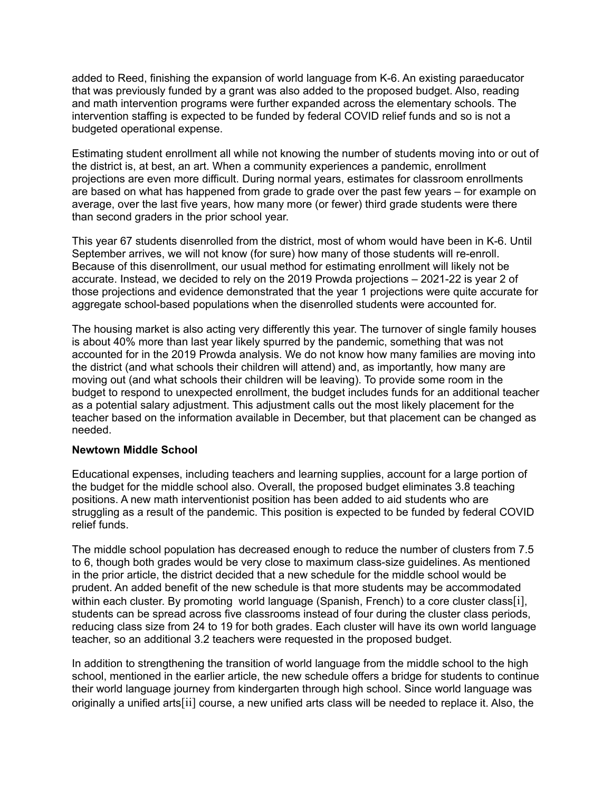added to Reed, finishing the expansion of world language from K-6. An existing paraeducator that was previously funded by a grant was also added to the proposed budget. Also, reading and math intervention programs were further expanded across the elementary schools. The intervention staffing is expected to be funded by federal COVID relief funds and so is not a budgeted operational expense.

Estimating student enrollment all while not knowing the number of students moving into or out of the district is, at best, an art. When a community experiences a pandemic, enrollment projections are even more difficult. During normal years, estimates for classroom enrollments are based on what has happened from grade to grade over the past few years – for example on average, over the last five years, how many more (or fewer) third grade students were there than second graders in the prior school year.

This year 67 students disenrolled from the district, most of whom would have been in K-6. Until September arrives, we will not know (for sure) how many of those students will re-enroll. Because of this disenrollment, our usual method for estimating enrollment will likely not be accurate. Instead, we decided to rely on the 2019 Prowda projections – 2021-22 is year 2 of those projections and evidence demonstrated that the year 1 projections were quite accurate for aggregate school-based populations when the disenrolled students were accounted for.

The housing market is also acting very differently this year. The turnover of single family houses is about 40% more than last year likely spurred by the pandemic, something that was not accounted for in the 2019 Prowda analysis. We do not know how many families are moving into the district (and what schools their children will attend) and, as importantly, how many are moving out (and what schools their children will be leaving). To provide some room in the budget to respond to unexpected enrollment, the budget includes funds for an additional teacher as a potential salary adjustment. This adjustment calls out the most likely placement for the teacher based on the information available in December, but that placement can be changed as needed.

#### **Newtown Middle School**

Educational expenses, including teachers and learning supplies, account for a large portion of the budget for the middle school also. Overall, the proposed budget eliminates 3.8 teaching positions. A new math interventionist position has been added to aid students who are struggling as a result of the pandemic. This position is expected to be funded by federal COVID relief funds.

The middle school population has decreased enough to reduce the number of clusters from 7.5 to 6, though both grades would be very close to maximum class-size guidelines. As mentioned in the prior article, the district decided that a new schedule for the middle school would be prudent. An added benefit of the new schedule is that more students may be accommodated within each cluster. By promoting world language (Spanish, French) to a core cluster class[i], students can be spread across five classrooms instead of four during the cluster class periods, reducing class size from 24 to 19 for both grades. Each cluster will have its own world language teacher, so an additional 3.2 teachers were requested in the proposed budget.

In addition to strengthening the transition of world language from the middle school to the high school, mentioned in the earlier article, the new schedule offers a bridge for students to continue their world language journey from kindergarten through high school. Since world language was originally a unified arts[ii] course, a new unified arts class will be needed to replace it. Also, the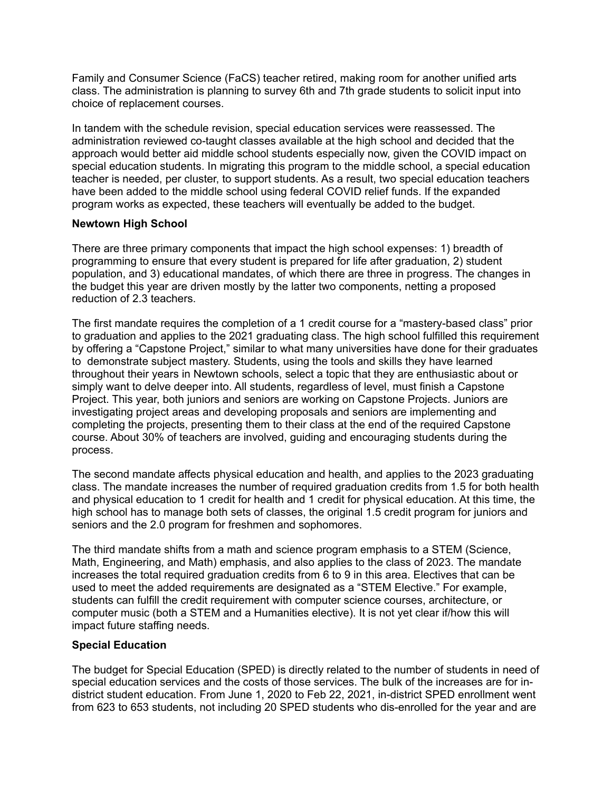Family and Consumer Science (FaCS) teacher retired, making room for another unified arts class. The administration is planning to survey 6th and 7th grade students to solicit input into choice of replacement courses.

In tandem with the schedule revision, special education services were reassessed. The administration reviewed co-taught classes available at the high school and decided that the approach would better aid middle school students especially now, given the COVID impact on special education students. In migrating this program to the middle school, a special education teacher is needed, per cluster, to support students. As a result, two special education teachers have been added to the middle school using federal COVID relief funds. If the expanded program works as expected, these teachers will eventually be added to the budget.

#### **Newtown High School**

There are three primary components that impact the high school expenses: 1) breadth of programming to ensure that every student is prepared for life after graduation, 2) student population, and 3) educational mandates, of which there are three in progress. The changes in the budget this year are driven mostly by the latter two components, netting a proposed reduction of 2.3 teachers.

The first mandate requires the completion of a 1 credit course for a "mastery-based class" prior to graduation and applies to the 2021 graduating class. The high school fulfilled this requirement by offering a "Capstone Project," similar to what many universities have done for their graduates to demonstrate subject mastery. Students, using the tools and skills they have learned throughout their years in Newtown schools, select a topic that they are enthusiastic about or simply want to delve deeper into. All students, regardless of level, must finish a Capstone Project. This year, both juniors and seniors are working on Capstone Projects. Juniors are investigating project areas and developing proposals and seniors are implementing and completing the projects, presenting them to their class at the end of the required Capstone course. About 30% of teachers are involved, guiding and encouraging students during the process.

The second mandate affects physical education and health, and applies to the 2023 graduating class. The mandate increases the number of required graduation credits from 1.5 for both health and physical education to 1 credit for health and 1 credit for physical education. At this time, the high school has to manage both sets of classes, the original 1.5 credit program for juniors and seniors and the 2.0 program for freshmen and sophomores.

The third mandate shifts from a math and science program emphasis to a STEM (Science, Math, Engineering, and Math) emphasis, and also applies to the class of 2023. The mandate increases the total required graduation credits from 6 to 9 in this area. Electives that can be used to meet the added requirements are designated as a "STEM Elective." For example, students can fulfill the credit requirement with computer science courses, architecture, or computer music (both a STEM and a Humanities elective). It is not yet clear if/how this will impact future staffing needs.

## **Special Education**

The budget for Special Education (SPED) is directly related to the number of students in need of special education services and the costs of those services. The bulk of the increases are for indistrict student education. From June 1, 2020 to Feb 22, 2021, in-district SPED enrollment went from 623 to 653 students, not including 20 SPED students who dis-enrolled for the year and are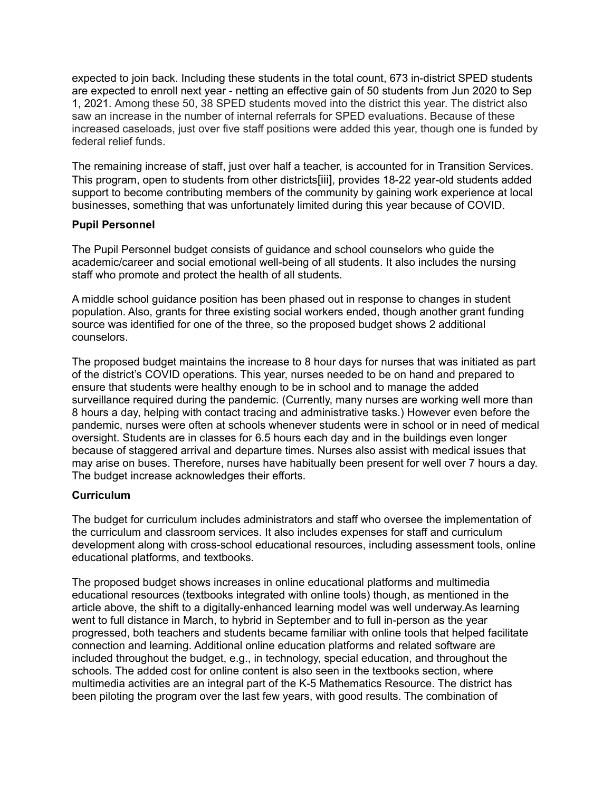expected to join back. Including these students in the total count, 673 in-district SPED students are expected to enroll next year - netting an effective gain of 50 students from Jun 2020 to Sep 1, 2021. Among these 50, 38 SPED students moved into the district this year. The district also saw an increase in the number of internal referrals for SPED evaluations. Because of these increased caseloads, just over five staff positions were added this year, though one is funded by federal relief funds.

The remaining increase of staff, just over half a teacher, is accounted for in Transition Services. This program, open to students from other districts[iii], provides 18-22 year-old students added support to become contributing members of the community by gaining work experience at local businesses, something that was unfortunately limited during this year because of COVID.

## **Pupil Personnel**

The Pupil Personnel budget consists of guidance and school counselors who guide the academic/career and social emotional well-being of all students. It also includes the nursing staff who promote and protect the health of all students.

A middle school guidance position has been phased out in response to changes in student population. Also, grants for three existing social workers ended, though another grant funding source was identified for one of the three, so the proposed budget shows 2 additional counselors.

The proposed budget maintains the increase to 8 hour days for nurses that was initiated as part of the district's COVID operations. This year, nurses needed to be on hand and prepared to ensure that students were healthy enough to be in school and to manage the added surveillance required during the pandemic. (Currently, many nurses are working well more than 8 hours a day, helping with contact tracing and administrative tasks.) However even before the pandemic, nurses were often at schools whenever students were in school or in need of medical oversight. Students are in classes for 6.5 hours each day and in the buildings even longer because of staggered arrival and departure times. Nurses also assist with medical issues that may arise on buses. Therefore, nurses have habitually been present for well over 7 hours a day. The budget increase acknowledges their efforts.

## **Curriculum**

The budget for curriculum includes administrators and staff who oversee the implementation of the curriculum and classroom services. It also includes expenses for staff and curriculum development along with cross-school educational resources, including assessment tools, online educational platforms, and textbooks.

The proposed budget shows increases in online educational platforms and multimedia educational resources (textbooks integrated with online tools) though, as mentioned in the article above, the shift to a digitally-enhanced learning model was well underway.As learning went to full distance in March, to hybrid in September and to full in-person as the year progressed, both teachers and students became familiar with online tools that helped facilitate connection and learning. Additional online education platforms and related software are included throughout the budget, e.g., in technology, special education, and throughout the schools. The added cost for online content is also seen in the textbooks section, where multimedia activities are an integral part of the K-5 Mathematics Resource. The district has been piloting the program over the last few years, with good results. The combination of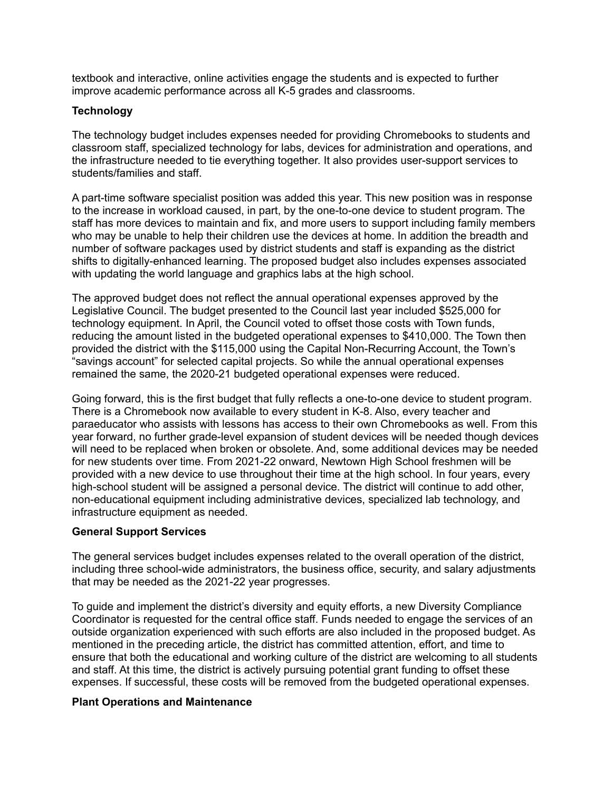textbook and interactive, online activities engage the students and is expected to further improve academic performance across all K-5 grades and classrooms.

## **Technology**

The technology budget includes expenses needed for providing Chromebooks to students and classroom staff, specialized technology for labs, devices for administration and operations, and the infrastructure needed to tie everything together. It also provides user-support services to students/families and staff.

A part-time software specialist position was added this year. This new position was in response to the increase in workload caused, in part, by the one-to-one device to student program. The staff has more devices to maintain and fix, and more users to support including family members who may be unable to help their children use the devices at home. In addition the breadth and number of software packages used by district students and staff is expanding as the district shifts to digitally-enhanced learning. The proposed budget also includes expenses associated with updating the world language and graphics labs at the high school.

The approved budget does not reflect the annual operational expenses approved by the Legislative Council. The budget presented to the Council last year included \$525,000 for technology equipment. In April, the Council voted to offset those costs with Town funds, reducing the amount listed in the budgeted operational expenses to \$410,000. The Town then provided the district with the \$115,000 using the Capital Non-Recurring Account, the Town's "savings account" for selected capital projects. So while the annual operational expenses remained the same, the 2020-21 budgeted operational expenses were reduced.

Going forward, this is the first budget that fully reflects a one-to-one device to student program. There is a Chromebook now available to every student in K-8. Also, every teacher and paraeducator who assists with lessons has access to their own Chromebooks as well. From this year forward, no further grade-level expansion of student devices will be needed though devices will need to be replaced when broken or obsolete. And, some additional devices may be needed for new students over time. From 2021-22 onward, Newtown High School freshmen will be provided with a new device to use throughout their time at the high school. In four years, every high-school student will be assigned a personal device. The district will continue to add other, non-educational equipment including administrative devices, specialized lab technology, and infrastructure equipment as needed.

## **General Support Services**

The general services budget includes expenses related to the overall operation of the district, including three school-wide administrators, the business office, security, and salary adjustments that may be needed as the 2021-22 year progresses.

To guide and implement the district's diversity and equity efforts, a new Diversity Compliance Coordinator is requested for the central office staff. Funds needed to engage the services of an outside organization experienced with such efforts are also included in the proposed budget. As mentioned in the preceding article, the district has committed attention, effort, and time to ensure that both the educational and working culture of the district are welcoming to all students and staff. At this time, the district is actively pursuing potential grant funding to offset these expenses. If successful, these costs will be removed from the budgeted operational expenses.

#### **Plant Operations and Maintenance**